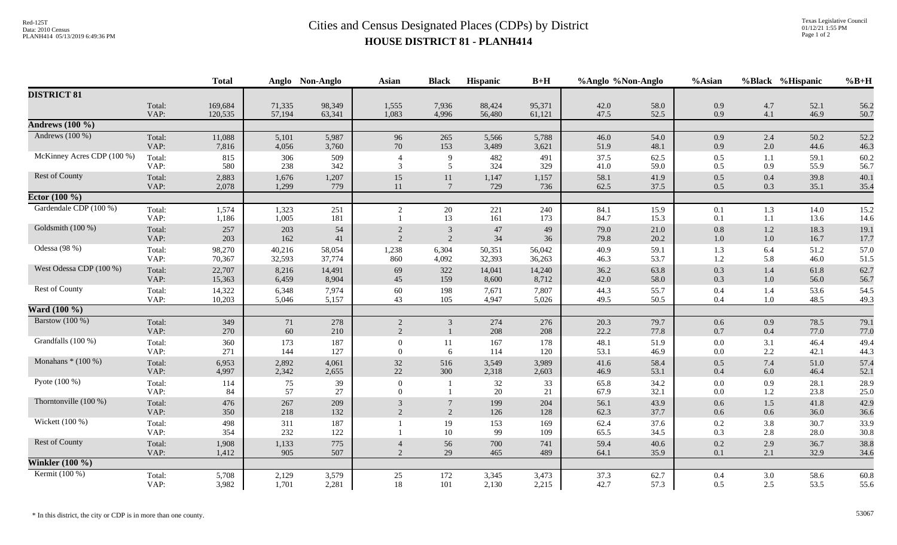## Red-125T<br>Data: 2010 Census<br>PLANH414 05/13/2019 6:49:36 PM<br>**Cities and Census Designated Places (CDPs)** by District **HOUSE DISTRICT 81 - PLANH414**

|                            |                | <b>Total</b>     |                  | Anglo Non-Anglo  | <b>Asian</b>                     | <b>Black</b>      | Hispanic         | $B+H$            | %Anglo %Non-Anglo |              | %Asian             |                | %Black %Hispanic | $%B+H$       |
|----------------------------|----------------|------------------|------------------|------------------|----------------------------------|-------------------|------------------|------------------|-------------------|--------------|--------------------|----------------|------------------|--------------|
| <b>DISTRICT 81</b>         |                |                  |                  |                  |                                  |                   |                  |                  |                   |              |                    |                |                  |              |
|                            | Total:         | 169,684          | 71,335           | 98,349           | 1,555                            | 7,936             | 88,424           | 95,371           | 42.0              | 58.0         | 0.9                | 4.7            | 52.1             | 56.2         |
|                            | VAP:           | 120,535          | 57,194           | 63,341           | 1,083                            | 4,996             | 56,480           | 61,121           | 47.5              | 52.5         | 0.9                | 4.1            | 46.9             | 50.7         |
| <b>Andrews</b> (100 %)     |                |                  |                  |                  |                                  |                   |                  |                  |                   |              |                    |                |                  |              |
| Andrews $(100\%)$          | Total:<br>VAP: | 11,088<br>7,816  | 5,101<br>4,056   | 5,987<br>3,760   | 96<br>70                         | 265<br>153        | 5,566<br>3,489   | 5,788<br>3,621   | 46.0<br>51.9      | 54.0<br>48.1 | 0.9<br>0.9         | 2.4<br>2.0     | 50.2<br>44.6     | 52.2<br>46.3 |
| McKinney Acres CDP (100 %) | Total:         | 815              | 306              | 509              |                                  | 9                 | 482              | 491              | 37.5              | 62.5         | 0.5                | 1.1            | 59.1             | 60.2         |
|                            | VAP:           | 580              | 238              | 342              | 3                                | 5                 | 324              | 329              | 41.0              | 59.0         | 0.5                | 0.9            | 55.9             | 56.7         |
| Rest of County             | Total:<br>VAP: | 2,883<br>2,078   | 1,676<br>1,299   | 1,207<br>779     | 15<br>11                         | 11<br>7           | 1,147<br>729     | 1,157<br>736     | 58.1<br>62.5      | 41.9<br>37.5 | 0.5<br>0.5         | 0.4<br>0.3     | 39.8<br>35.1     | 40.1<br>35.4 |
| Ector $(100\%)$            |                |                  |                  |                  |                                  |                   |                  |                  |                   |              |                    |                |                  |              |
| Gardendale CDP (100 %)     | Total:<br>VAP: | 1,574<br>1,186   | 1,323<br>1,005   | 251<br>181       | $\overline{2}$                   | 20<br>13          | 221<br>161       | 240<br>173       | 84.1<br>84.7      | 15.9<br>15.3 | 0.1<br>0.1         | 1.3<br>1.1     | 14.0<br>13.6     | 15.2<br>14.6 |
| Goldsmith (100 %)          | Total:<br>VAP: | 257<br>203       | 203<br>162       | 54<br>41         | $\overline{2}$<br>$\overline{2}$ | 3<br>2            | 47<br>34         | 49<br>36         | 79.0<br>79.8      | 21.0<br>20.2 | $0.8\,$<br>1.0     | 1.2<br>1.0     | 18.3<br>16.7     | 19.1<br>17.7 |
| Odessa (98 %)              | Total:<br>VAP: | 98,270<br>70,367 | 40,216<br>32,593 | 58,054<br>37,774 | 1,238<br>860                     | 6,304<br>4,092    | 50,351<br>32,393 | 56,042<br>36,263 | 40.9<br>46.3      | 59.1<br>53.7 | 1.3<br>1.2         | 6.4<br>5.8     | 51.2<br>46.0     | 57.0<br>51.5 |
| West Odessa CDP (100 %)    | Total:<br>VAP: | 22,707<br>15,363 | 8,216<br>6,459   | 14,491<br>8,904  | 69<br>45                         | 322<br>159        | 14,041<br>8,600  | 14,240<br>8,712  | 36.2<br>42.0      | 63.8<br>58.0 | 0.3<br>0.3         | 1.4<br>1.0     | 61.8<br>56.0     | 62.7<br>56.7 |
| Rest of County             | Total:<br>VAP: | 14,322<br>10,203 | 6,348<br>5,046   | 7,974<br>5,157   | 60<br>43                         | 198<br>105        | 7,671<br>4,947   | 7,807<br>5,026   | 44.3<br>49.5      | 55.7<br>50.5 | 0.4<br>0.4         | 1.4<br>1.0     | 53.6<br>48.5     | 54.5<br>49.3 |
| Ward $(100\%$              |                |                  |                  |                  |                                  |                   |                  |                  |                   |              |                    |                |                  |              |
| Barstow (100 %)            | Total:<br>VAP: | 349<br>270       | 71<br>60         | 278<br>210       | 2<br>2                           | 3<br>$\mathbf{1}$ | 274<br>208       | 276<br>208       | 20.3<br>22.2      | 79.7<br>77.8 | 0.6<br>0.7         | 0.9<br>0.4     | 78.5<br>77.0     | 79.1<br>77.0 |
| Grandfalls (100 %)         | Total:<br>VAP: | 360<br>271       | 173<br>144       | 187<br>127       | $\Omega$<br>$\Omega$             | 11<br>6           | 167<br>114       | 178<br>120       | 48.1<br>53.1      | 51.9<br>46.9 | $0.0\,$<br>0.0     | 3.1<br>2.2     | 46.4<br>42.1     | 49.4<br>44.3 |
| Monahans $*(100\%)$        | Total:<br>VAP: | 6,953<br>4,997   | 2,892<br>2,342   | 4,061<br>2,655   | 32<br>22                         | 516<br>300        | 3,549<br>2,318   | 3,989<br>2,603   | 41.6<br>46.9      | 58.4<br>53.1 | 0.5<br>0.4         | 7.4<br>$6.0\,$ | 51.0<br>46.4     | 57.4<br>52.1 |
| Pyote (100 %)              | Total:<br>VAP: | 114<br>84        | 75<br>57         | 39<br>27         | $\mathbf{0}$<br>$\Omega$         |                   | 32<br>20         | 33<br>21         | 65.8<br>67.9      | 34.2<br>32.1 | $0.0\,$<br>$0.0\,$ | 0.9<br>1.2     | 28.1<br>23.8     | 28.9<br>25.0 |
| Thorntonville (100 %)      | Total:<br>VAP: | 476<br>350       | 267<br>218       | 209<br>132       | 3<br>2                           | 2                 | 199<br>126       | 204<br>128       | 56.1<br>62.3      | 43.9<br>37.7 | 0.6<br>0.6         | 1.5<br>0.6     | 41.8<br>36.0     | 42.9<br>36.6 |
| Wickett (100 %)            | Total:<br>VAP: | 498<br>354       | 311<br>232       | 187<br>122       |                                  | 19<br>10          | 153<br>99        | 169<br>109       | 62.4<br>65.5      | 37.6<br>34.5 | 0.2<br>0.3         | 3.8<br>2.8     | 30.7<br>28.0     | 33.9<br>30.8 |
| Rest of County             | Total:<br>VAP: | 1,908<br>1,412   | 1,133<br>905     | 775<br>507       | $\overline{4}$<br>2              | 56<br>29          | 700<br>465       | 741<br>489       | 59.4<br>64.1      | 40.6<br>35.9 | 0.2<br>0.1         | 2.9<br>2.1     | 36.7<br>32.9     | 38.8<br>34.6 |
| Winkler $(100 \%)$         |                |                  |                  |                  |                                  |                   |                  |                  |                   |              |                    |                |                  |              |
| Kermit (100 %)             | Total:<br>VAP: | 5,708<br>3,982   | 2,129<br>1,701   | 3,579<br>2,281   | 25<br>18                         | 172<br>101        | 3,345<br>2,130   | 3,473<br>2,215   | 37.3<br>42.7      | 62.7<br>57.3 | 0.4<br>0.5         | 3.0<br>2.5     | 58.6<br>53.5     | 60.8<br>55.6 |